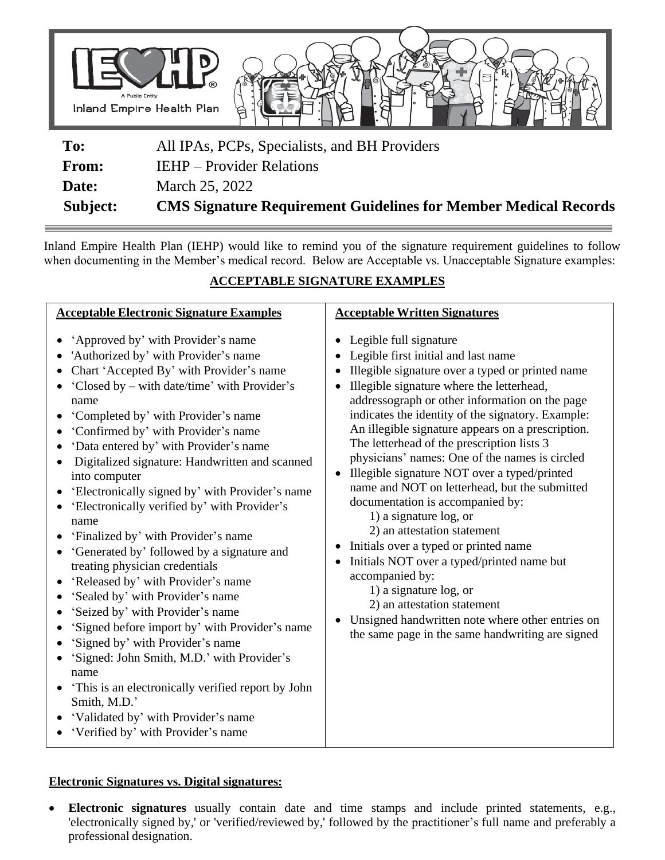

| Subject:     | <b>CMS Signature Requirement Guidelines for Member Medical Records</b> |
|--------------|------------------------------------------------------------------------|
| Date:        | March 25, 2022                                                         |
| <b>From:</b> | <b>IEHP</b> – Provider Relations                                       |
| To:          | All IPAs, PCPs, Specialists, and BH Providers                          |

Inland Empire Health Plan (IEHP) would like to remind you of the signature requirement guidelines to follow when documenting in the Member's medical record. Below are Acceptable vs. Unacceptable Signature examples:

## **ACCEPTABLE SIGNATURE EXAMPLES**

| <b>Acceptable Electronic Signature Examples</b>                                                                                                                                                                                                                                                                                                                                                                                                                                                                                                                                                                                                                                                                                                                                                                                                                                                                                                                                                                          | <b>Acceptable Written Signatures</b>                                                                                                                                                                                                                                                                                                                                                                                                                                                                                                                                                                                                                                                                                                                                                                                                                                                                                          |
|--------------------------------------------------------------------------------------------------------------------------------------------------------------------------------------------------------------------------------------------------------------------------------------------------------------------------------------------------------------------------------------------------------------------------------------------------------------------------------------------------------------------------------------------------------------------------------------------------------------------------------------------------------------------------------------------------------------------------------------------------------------------------------------------------------------------------------------------------------------------------------------------------------------------------------------------------------------------------------------------------------------------------|-------------------------------------------------------------------------------------------------------------------------------------------------------------------------------------------------------------------------------------------------------------------------------------------------------------------------------------------------------------------------------------------------------------------------------------------------------------------------------------------------------------------------------------------------------------------------------------------------------------------------------------------------------------------------------------------------------------------------------------------------------------------------------------------------------------------------------------------------------------------------------------------------------------------------------|
| 'Approved by' with Provider's name<br>'Authorized by' with Provider's name<br>Chart 'Accepted By' with Provider's name<br>'Closed by – with date/time' with Provider's<br>name<br>'Completed by' with Provider's name<br>'Confirmed by' with Provider's name<br>'Data entered by' with Provider's name<br>Digitalized signature: Handwritten and scanned<br>into computer<br>'Electronically signed by' with Provider's name<br>'Electronically verified by' with Provider's<br>name<br>'Finalized by' with Provider's name<br>'Generated by' followed by a signature and<br>treating physician credentials<br>'Released by' with Provider's name<br>'Sealed by' with Provider's name<br>'Seized by' with Provider's name<br>'Signed before import by' with Provider's name<br>'Signed by' with Provider's name<br>'Signed: John Smith, M.D.' with Provider's<br>name<br>'This is an electronically verified report by John<br>Smith, M.D.'<br>'Validated by' with Provider's name<br>'Verified by' with Provider's name | Legible full signature<br>$\bullet$<br>Legible first initial and last name<br>Illegible signature over a typed or printed name<br>Illegible signature where the letterhead,<br>addressograph or other information on the page<br>indicates the identity of the signatory. Example:<br>An illegible signature appears on a prescription.<br>The letterhead of the prescription lists 3<br>physicians' names: One of the names is circled<br>Illegible signature NOT over a typed/printed<br>name and NOT on letterhead, but the submitted<br>documentation is accompanied by:<br>1) a signature log, or<br>2) an attestation statement<br>Initials over a typed or printed name<br>$\bullet$<br>Initials NOT over a typed/printed name but<br>accompanied by:<br>1) a signature log, or<br>2) an attestation statement<br>Unsigned handwritten note where other entries on<br>the same page in the same handwriting are signed |

## **Electronic Signatures vs. Digital signatures:**

• **Electronic signatures** usually contain date and time stamps and include printed statements, e.g., 'electronically signed by,' or 'verified/reviewed by,' followed by the practitioner's full name and preferably a professional designation.